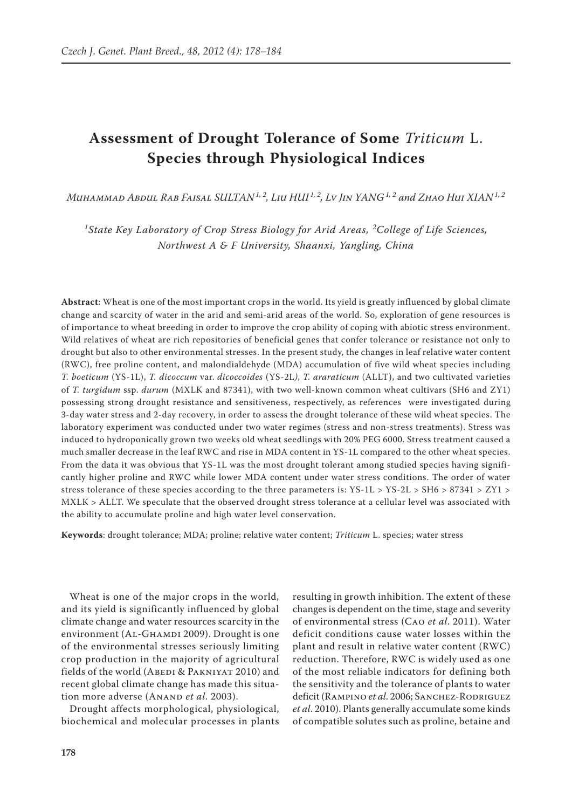# **Assessment of Drought Tolerance of Some** *Triticum* L. **Species through Physiological Indices**

*Muhammad Abdul Rab Faisal SULTAN1, 2, Liu HUI 1, 2, Lv Jin YANG1, 2 and Zhao Hui XIAN1, 2*

*1 State Key Laboratory of Crop Stress Biology for Arid Areas, <sup>2</sup> College of Life Sciences, Northwest A & F University, Shaanxi, Yangling, China*

**Abstract**: Wheat is one of the most important crops in the world. Its yield is greatly influenced by global climate change and scarcity of water in the arid and semi-arid areas of the world. So, exploration of gene resources is of importance to wheat breeding in order to improve the crop ability of coping with abiotic stress environment. Wild relatives of wheat are rich repositories of beneficial genes that confer tolerance or resistance not only to drought but also to other environmental stresses. In the present study, the changes in leaf relative water content (RWC), free proline content, and malondialdehyde (MDA) accumulation of five wild wheat species including *T. boeticum* (YS-1L), *T. dicoccum* var. *dicoccoides* (YS-2L*)*, *T. araraticum* (ALLT), and two cultivated varieties of *T. turgidum* ssp. *durum* (MXLK and 87341), with two well-known common wheat cultivars (SH6 and ZY1) possessing strong drought resistance and sensitiveness, respectively, as references were investigated during 3-day water stress and 2-day recovery, in order to assess the drought tolerance of these wild wheat species. The laboratory experiment was conducted under two water regimes (stress and non-stress treatments). Stress was induced to hydroponically grown two weeks old wheat seedlings with 20% PEG 6000. Stress treatment caused a much smaller decrease in the leaf RWC and rise in MDA content in YS-1L compared to the other wheat species. From the data it was obvious that YS-1L was the most drought tolerant among studied species having significantly higher proline and RWC while lower MDA content under water stress conditions. The order of water stress tolerance of these species according to the three parameters is:  $YS-1L > YS-2L > SH6 > 87341 > ZY1 >$ MXLK > ALLT. We speculate that the observed drought stress tolerance at a cellular level was associated with the ability to accumulate proline and high water level conservation.

**Keywords**: drought tolerance; MDA; proline; relative water content; *Triticum* L. species; water stress

Wheat is one of the major crops in the world, and its yield is significantly influenced by global climate change and water resources scarcity in the environment (AL-GHAMDI 2009). Drought is one of the environmental stresses seriously limiting crop production in the majority of agricultural fields of the world (ABEDI & PAKNIYAT 2010) and recent global climate change has made this situation more adverse (ANAND *et al.* 2003).

Drought affects morphological, physiological, biochemical and molecular processes in plants

resulting in growth inhibition. The extent of these changes is dependent on the time, stage and severity of environmental stress (Cao *et al*. 2011). Water deficit conditions cause water losses within the plant and result in relative water content (RWC) reduction. Therefore, RWC is widely used as one of the most reliable indicators for defining both the sensitivity and the tolerance of plants to water deficit (Rampino *et al*. 2006; Sanchez-Rodriguez *et al*. 2010). Plants generally accumulate some kinds of compatible solutes such as proline, betaine and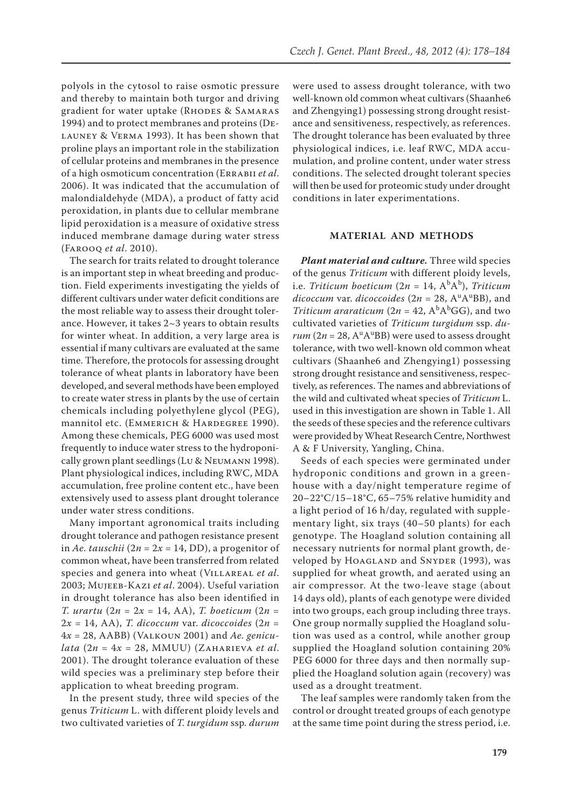polyols in the cytosol to raise osmotic pressure and thereby to maintain both turgor and driving gradient for water uptake (RHODES & SAMARAS 1994) and to protect membranes and proteins (Delauney & Verma 1993). It has been shown that proline plays an important role in the stabilization of cellular proteins and membranes in the presence of a high osmoticum concentration (Errabii *et al*. 2006). It was indicated that the accumulation of malondialdehyde (MDA), a product of fatty acid peroxidation, in plants due to cellular membrane lipid peroxidation is a measure of oxidative stress induced membrane damage during water stress (Farooq *et al*. 2010).

The search for traits related to drought tolerance is an important step in wheat breeding and production. Field experiments investigating the yields of different cultivars under water deficit conditions are the most reliable way to assess their drought tolerance. However, it takes 2~3 years to obtain results for winter wheat. In addition, a very large area is essential if many cultivars are evaluated at the same time. Therefore, the protocols for assessing drought tolerance of wheat plants in laboratory have been developed, and several methods have been employed to create water stress in plants by the use of certain chemicals including polyethylene glycol (PEG), mannitol etc. (Emmerich & Hardegree 1990). Among these chemicals, PEG 6000 was used most frequently to induce water stress to the hydroponically grown plant seedlings (Lu & Neumann 1998). Plant physiological indices, including RWC, MDA accumulation, free proline content etc., have been extensively used to assess plant drought tolerance under water stress conditions.

Many important agronomical traits including drought tolerance and pathogen resistance present in *Ae. tauschii* ( $2n = 2x = 14$ , DD), a progenitor of common wheat, have been transferred from related species and genera into wheat (Villareal *et al*. 2003; Mujeeb-Kazi *et al*. 2004). Useful variation in drought tolerance has also been identified in *T. urartu* ( $2n = 2x = 14$ , AA), *T. boeticum* ( $2n =$  $2x = 14$ , AA), *T. dicoccum* var. *dicoccoides*  $(2n =$ 4*x* = 28, AABB) (Valkoun 2001) and *Ae. genicu* $lata$  (2*n* = 4*x* = 28, MMUU) (ZAHARIEVA *et al.* 2001). The drought tolerance evaluation of these wild species was a preliminary step before their application to wheat breeding program.

In the present study, three wild species of the genus *Triticum* L. with different ploidy levels and two cultivated varieties of *T. turgidum* ssp*. durum*

were used to assess drought tolerance, with two well-known old common wheat cultivars (Shaanhe6 and Zhengying1) possessing strong drought resistance and sensitiveness, respectively, as references. The drought tolerance has been evaluated by three physiological indices, i.e. leaf RWC, MDA accumulation, and proline content, under water stress conditions. The selected drought tolerant species will then be used for proteomic study under drought conditions in later experimentations.

# **MATERIAL AND METHODS**

*Plant material and culture.* Three wild species of the genus *Triticum* with different ploidy levels, i.e. *Triticum boeticum* (2*n* = 14, A<sup>b</sup>A<sup>b</sup>), *Triticum dicoccum* var. *dicoccoides* (2*n* = 28, AuAuBB), and *Triticum araraticum* ( $2n = 42$ ,  $A<sup>b</sup>A<sup>b</sup>GG$ ), and two cultivated varieties of *Triticum turgidum* ssp. *du* $rum (2n = 28, A<sup>u</sup> A<sup>u</sup> BB)$  were used to assess drought tolerance, with two well-known old common wheat cultivars (Shaanhe6 and Zhengying1) possessing strong drought resistance and sensitiveness, respectively, as references. The names and abbreviations of the wild and cultivated wheat species of *Triticum* L. used in this investigation are shown in Table 1. All the seeds of these species and the reference cultivars were provided by Wheat Research Centre, Northwest A & F University, Yangling, China.

Seeds of each species were germinated under hydroponic conditions and grown in a greenhouse with a day/night temperature regime of 20–22°C/15–18°C, 65–75% relative humidity and a light period of 16 h/day, regulated with supplementary light, six trays (40–50 plants) for each genotype. The Hoagland solution containing all necessary nutrients for normal plant growth, developed by HOAGLAND and SNYDER (1993), was supplied for wheat growth, and aerated using an air compressor. At the two-leave stage (about 14 days old), plants of each genotype were divided into two groups, each group including three trays. One group normally supplied the Hoagland solution was used as a control, while another group supplied the Hoagland solution containing 20% PEG 6000 for three days and then normally supplied the Hoagland solution again (recovery) was used as a drought treatment.

The leaf samples were randomly taken from the control or drought treated groups of each genotype at the same time point during the stress period, i.e.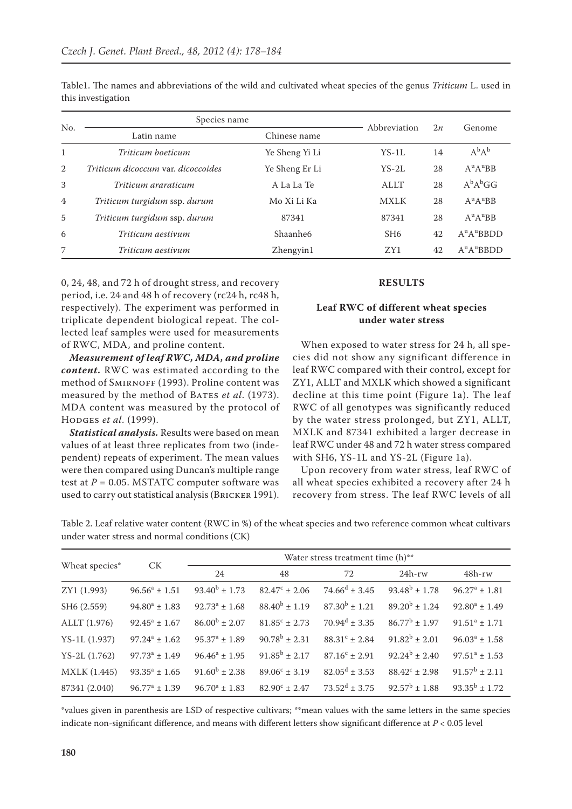| No.            | Species name                       | Abbreviation         | 2n              | Genome |                                    |
|----------------|------------------------------------|----------------------|-----------------|--------|------------------------------------|
|                | Latin name                         | Chinese name         |                 |        |                                    |
| $\mathbf{1}$   | Triticum boeticum                  | Ye Sheng Yi Li       | $YS-1L$         | 14     | $A^{b}A^{b}$                       |
| 2              | Triticum dicoccum var. dicoccoides | Ye Sheng Er Li       | $YS-2L$         | 28     | $A^{\mathrm{u}}A^{\mathrm{u}}BB$   |
| 3              | Triticum araraticum                | A La La Te           | ALLT            | 28     | $A^{b}A^{b}GG$                     |
| $\overline{4}$ | Triticum turgidum ssp. durum       | Mo Xi Li Ka          | <b>MXLK</b>     | 28     | $A^{\mathrm{u}}A^{\mathrm{u}}BB$   |
| $\overline{5}$ | Triticum turgidum ssp. durum       | 87341                | 87341           | 28     | $A^{\mathrm{u}}A^{\mathrm{u}}BB$   |
| 6              | Triticum aestivum                  | Shaanhe <sub>6</sub> | SH <sub>6</sub> | 42     | $A^uA^uBBDD$                       |
| 7              | Triticum aestivum                  | Zhengyin1            | ZY1             | 42     | $A^{\mathrm{u}}A^{\mathrm{u}}BBDD$ |

Table1. The names and abbreviations of the wild and cultivated wheat species of the genus *Triticum* L. used in this investigation

0, 24, 48, and 72 h of drought stress, and recovery period, i.e. 24 and 48 h of recovery (rc24 h, rc48 h, respectively). The experiment was performed in triplicate dependent biological repeat. The collected leaf samples were used for measurements of RWC, MDA, and proline content.

*Measurement of leaf RWC, MDA, and proline content.* RWC was estimated according to the method of SMIRNOFF (1993). Proline content was measured by the method of BATES *et al.* (1973). MDA content was measured by the protocol of Hodges *et al*. (1999).

*Statistical analysis.* Results were based on mean values of at least three replicates from two (independent) repeats of experiment. The mean values were then compared using Duncan's multiple range test at  $P = 0.05$ . MSTATC computer software was used to carry out statistical analysis (Bricker 1991).

#### **RESULTS**

## **Leaf RWC of different wheat species under water stress**

When exposed to water stress for 24 h, all species did not show any significant difference in leaf RWC compared with their control, except for ZY1, ALLT and MXLK which showed a significant decline at this time point (Figure 1a). The leaf RWC of all genotypes was significantly reduced by the water stress prolonged, but ZY1, ALLT, MXLK and 87341 exhibited a larger decrease in leaf RWC under 48 and 72 h water stress compared with SH6, YS-1L and YS-2L (Figure 1a).

Upon recovery from water stress, leaf RWC of all wheat species exhibited a recovery after 24 h recovery from stress. The leaf RWC levels of all

Table 2. Leaf relative water content (RWC in %) of the wheat species and two reference common wheat cultivars under water stress and normal conditions (CK)

|                     | <b>CK</b>          | Water stress treatment time (h)** |                          |                             |                    |                    |
|---------------------|--------------------|-----------------------------------|--------------------------|-----------------------------|--------------------|--------------------|
| Wheat species*      |                    | 24                                | 48                       | 72                          | $24h$ -rw          | $48h$ -rw          |
| ZY1 (1.993)         | $96.56^a \pm 1.51$ | $93.40^b \pm 1.73$                | $82.47^{\circ} \pm 2.06$ | $74.66^d \pm 3.45$          | $93.48^b \pm 1.78$ | $96.27^a \pm 1.81$ |
| SH6 (2.559)         | $94.80^a \pm 1.83$ | $92.73^a \pm 1.68$                | $88.40^{b} \pm 1.19$     | $87.30^b \pm 1.21$          | $89.20^b \pm 1.24$ | $92.80^a \pm 1.49$ |
| ALLT (1.976)        | $92.45^a \pm 1.67$ | $86.00^b \pm 2.07$                | $81.85^{\circ} \pm 2.73$ | $70.94^d \pm 3.35$          | $86.77^b \pm 1.97$ | $91.51^a \pm 1.71$ |
| YS-1L (1.937)       | $97.24^a \pm 1.62$ | $95.37^a \pm 1.89$                | $90.78^b \pm 2.31$       | $88.31^c \pm 2.84$          | $91.82^b \pm 2.01$ | $96.03^a \pm 1.58$ |
| $YS - 2L (1.762)$   | $97.73^a \pm 1.49$ | $96.46^a \pm 1.95$                | $91.85^b \pm 2.17$       | $87.16^c \pm 2.91$          | $92.24^b \pm 2.40$ | $97.51^a \pm 1.53$ |
| <b>MXLK</b> (1.445) | $93.35^a \pm 1.65$ | $91.60^b \pm 2.38$                | $89.06^{\circ} \pm 3.19$ | $82.05^{\text{d}} \pm 3.53$ | $88.42^c \pm 2.98$ | $91.57^b \pm 2.11$ |
| 87341 (2.040)       | $96.77^a \pm 1.39$ | $96.70^a \pm 1.83$                | $82.90^{\circ} \pm 2.47$ | $73.52^d \pm 3.75$          | $92.57^b \pm 1.88$ | $93.35^b \pm 1.72$ |

\*values given in parenthesis are LSD of respective cultivars; \*\*mean values with the same letters in the same species indicate non-significant difference, and means with different letters show significant difference at  $P < 0.05$  level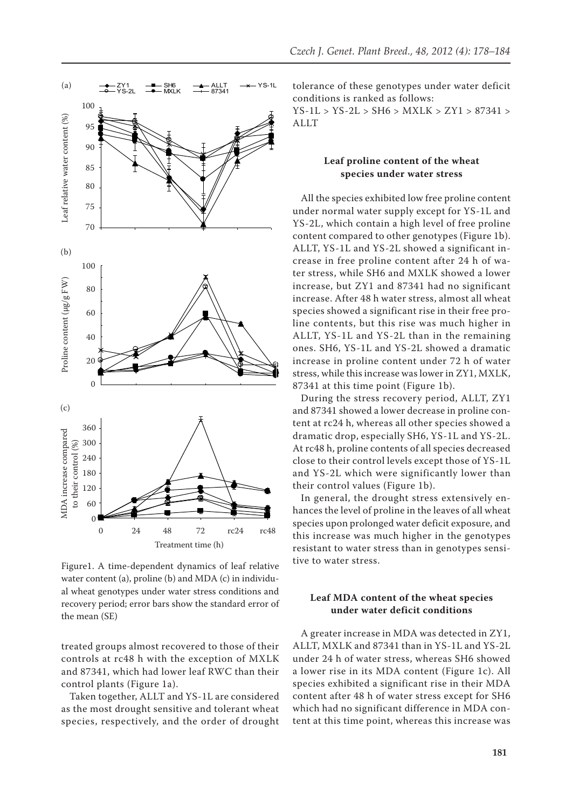

Figure1. A time-dependent dynamics of leaf relative water content (a), proline (b) and MDA (c) in individual wheat genotypes under water stress conditions and recovery period; error bars show the standard error of the mean (SE)

treated groups almost recovered to those of their controls at rc48 h with the exception of MXLK and 87341, which had lower leaf RWC than their control plants (Figure 1a).

Taken together, ALLT and YS-1L are considered as the most drought sensitive and tolerant wheat species, respectively, and the order of drought tolerance of these genotypes under water deficit conditions is ranked as follows:

YS-1L > YS-2L > SH6 > MXLK > ZY1 > 87341 > ALLT

### **Leaf proline content of the wheat species under water stress**

All the species exhibited low free proline content under normal water supply except for YS-1L and YS-2L, which contain a high level of free proline content compared to other genotypes (Figure 1b). ALLT, YS-1L and YS-2L showed a significant increase in free proline content after 24 h of water stress, while SH6 and MXLK showed a lower increase, but ZY1 and 87341 had no significant increase. After 48 h water stress, almost all wheat species showed a significant rise in their free proline contents, but this rise was much higher in ALLT, YS-1L and YS-2L than in the remaining ones. SH6, YS-1L and YS-2L showed a dramatic increase in proline content under 72 h of water stress, while this increase was lower in ZY1, MXLK, 87341 at this time point (Figure 1b).

During the stress recovery period, ALLT, ZY1 and 87341 showed a lower decrease in proline content at rc24 h, whereas all other species showed a dramatic drop, especially SH6, YS-1L and YS-2L. At rc48 h, proline contents of all species decreased close to their control levels except those of YS-1L and YS-2L which were significantly lower than their control values (Figure 1b).

In general, the drought stress extensively enhances the level of proline in the leaves of all wheat species upon prolonged water deficit exposure, and this increase was much higher in the genotypes resistant to water stress than in genotypes sensitive to water stress.

# **Leaf MDA content of the wheat species under water deficit conditions**

A greater increase in MDA was detected in ZY1, ALLT, MXLK and 87341 than in YS-1L and YS-2L under 24 h of water stress, whereas SH6 showed a lower rise in its MDA content (Figure 1c). All species exhibited a significant rise in their MDA content after 48 h of water stress except for SH6 which had no significant difference in MDA content at this time point, whereas this increase was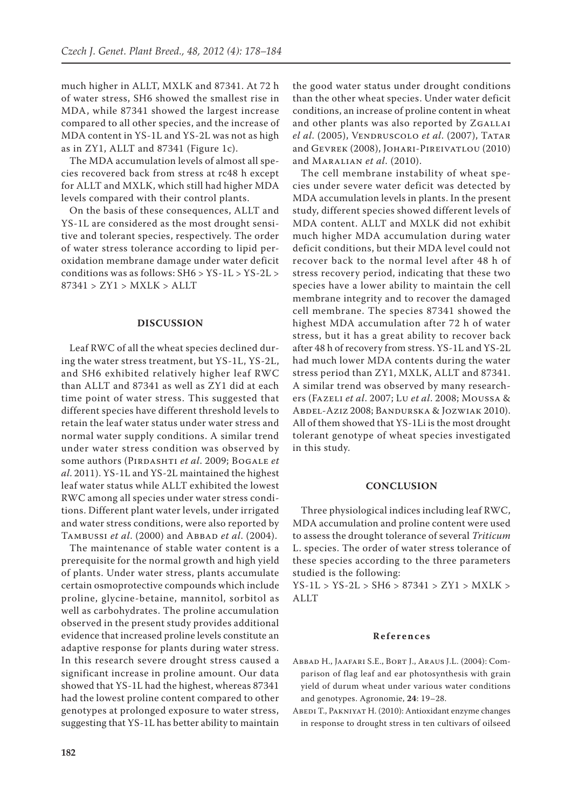much higher in ALLT, MXLK and 87341. At 72 h of water stress, SH6 showed the smallest rise in MDA, while 87341 showed the largest increase compared to all other species, and the increase of MDA content in YS-1L and YS-2L was not as high as in ZY1, ALLT and 87341 (Figure 1c).

The MDA accumulation levels of almost all species recovered back from stress at rc48 h except for ALLT and MXLK, which still had higher MDA levels compared with their control plants.

On the basis of these consequences, ALLT and YS-1L are considered as the most drought sensitive and tolerant species, respectively. The order of water stress tolerance according to lipid peroxidation membrane damage under water deficit conditions was as follows: SH6 > YS-1L > YS-2L > 87341 > ZY1 > MXLK > ALLT

#### **DISCUSSION**

Leaf RWC of all the wheat species declined during the water stress treatment, but YS-1L, YS-2L, and SH6 exhibited relatively higher leaf RWC than ALLT and 87341 as well as ZY1 did at each time point of water stress. This suggested that different species have different threshold levels to retain the leaf water status under water stress and normal water supply conditions. A similar trend under water stress condition was observed by some authors (PIRDASHTI *et al.* 2009; BOGALE *et al*. 2011). YS-1L and YS-2L maintained the highest leaf water status while ALLT exhibited the lowest RWC among all species under water stress conditions. Different plant water levels, under irrigated and water stress conditions, were also reported by TAMBUSSI *et al.* (2000) and ABBAD *et al.* (2004).

The maintenance of stable water content is a prerequisite for the normal growth and high yield of plants. Under water stress, plants accumulate certain osmoprotective compounds which include proline, glycine-betaine, mannitol, sorbitol as well as carbohydrates. The proline accumulation observed in the present study provides additional evidence that increased proline levels constitute an adaptive response for plants during water stress. In this research severe drought stress caused a significant increase in proline amount. Our data showed that YS-1L had the highest, whereas 87341 had the lowest proline content compared to other genotypes at prolonged exposure to water stress, suggesting that YS-1L has better ability to maintain

the good water status under drought conditions than the other wheat species. Under water deficit conditions, an increase of proline content in wheat and other plants was also reported by ZGALLAI *el al*. (2005), Vendruscolo *et al*. (2007), Tatar and Gevrek (2008), Johari-Pireivatlou (2010) and Maralian *et al*. (2010).

The cell membrane instability of wheat species under severe water deficit was detected by MDA accumulation levels in plants. In the present study, different species showed different levels of MDA content. ALLT and MXLK did not exhibit much higher MDA accumulation during water deficit conditions, but their MDA level could not recover back to the normal level after 48 h of stress recovery period, indicating that these two species have a lower ability to maintain the cell membrane integrity and to recover the damaged cell membrane. The species 87341 showed the highest MDA accumulation after 72 h of water stress, but it has a great ability to recover back after 48 h of recovery from stress. YS-1L and YS-2L had much lower MDA contents during the water stress period than ZY1, MXLK, ALLT and 87341. A similar trend was observed by many researchers (Fazeli *et al*. 2007; Lu *et al*. 2008; Moussa & Abdel-Aziz 2008; Bandurska & Jozwiak 2010). All of them showed that YS-1Li is the most drought tolerant genotype of wheat species investigated in this study.

#### **CONCLUSION**

Three physiological indices including leaf RWC, MDA accumulation and proline content were used to assess the drought tolerance of several *Triticum* L. species. The order of water stress tolerance of these species according to the three parameters studied is the following:

YS-1L > YS-2L > SH6 > 87341 > ZY1 > MXLK > ALLT

#### **References**

- Abbad H., Jaafari S.E., Bort J., Araus J.L. (2004): Comparison of flag leaf and ear photosynthesis with grain yield of durum wheat under various water conditions and genotypes. Agronomie, **24**: 19–28.
- ABEDI T., PAKNIYAT H. (2010): Antioxidant enzyme changes in response to drought stress in ten cultivars of oilseed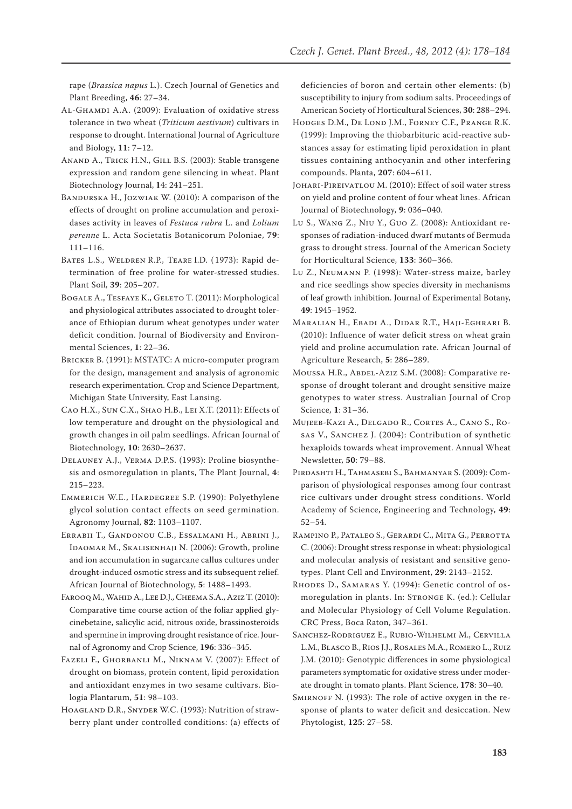rape (*Brassica napus* L*.*). Czech Journal of Genetics and Plant Breeding, **46**: 27–34.

- Al-Ghamdi A.A. (2009): Evaluation of oxidative stress tolerance in two wheat (*Triticum aestivum*) cultivars in response to drought. International Journal of Agriculture and Biology, **11**: 7–12.
- Anand A., Trick H.N., Gill B.S. (2003): Stable transgene expression and random gene silencing in wheat. Plant Biotechnology Journal, **1**4: 241–251.
- Bandurska H., Jozwiak W. (2010): A comparison of the effects of drought on proline accumulation and peroxidases activity in leaves of *Festuca rubra* L. and *Lolium perenne* L. Acta Societatis Botanicorum Poloniae, **79**: 111–116.
- Bates L.S., Weldren R.P., Teare I.D. ( 1973): Rapid determination of free proline for water-stressed studies. Plant Soil, **39**: 205–207.
- Bogale A., Tesfaye K., Geleto T. (2011): Morphological and physiological attributes associated to drought tolerance of Ethiopian durum wheat genotypes under water deficit condition. Journal of Biodiversity and Environmental Sciences, **1**: 22–36.
- Bricker B. (1991): MSTATC: A micro-computer program for the design, management and analysis of agronomic research experimentation. Crop and Science Department, Michigan State University, East Lansing.
- Cao H.X., Sun C.X., Shao H.B., Lei X.T. (2011): Effects of low temperature and drought on the physiological and growth changes in oil palm seedlings. African Journal of Biotechnology, **10**: 2630–2637.
- Delauney A.J., Verma D.P.S. (1993): Proline biosynthesis and osmoregulation in plants, The Plant Journal, **4**: 215–223.
- Emmerich W.E., Hardegree S.P. (1990): Polyethylene glycol solution contact effects on seed germination. Agronomy Journal, **82**: 1103–1107.
- Errabii T., Gandonou C.B., Essalmani H., Abrini J., Idaomar M., Skalisenhaji N. (2006): Growth, proline and ion accumulation in sugarcane callus cultures under drought-induced osmotic stress and its subsequent relief. African Journal of Biotechnology, **5**: 1488–1493.
- Farooq M., Wahid A., Lee D.J., Cheema S.A., Aziz T. (2010): Comparative time course action of the foliar applied glycinebetaine, salicylic acid, nitrous oxide, brassinosteroids and spermine in improving drought resistance of rice. Journal of Agronomy and Crop Science, **196**: 336–345.
- Fazeli F., Ghorbanli M., Niknam V. (2007): Effect of drought on biomass, protein content, lipid peroxidation and antioxidant enzymes in two sesame cultivars. Biologia Plantarum, **51**: 98–103.
- HOAGLAND D.R., SNYDER W.C. (1993): Nutrition of strawberry plant under controlled conditions: (a) effects of

deficiencies of boron and certain other elements: (b) susceptibility to injury from sodium salts. Proceedings of American Society of Horticultural Sciences, **30**: 288–294.

- Hodges D.M., De Lond J.M., Forney C.F., Prange R.K. (1999): Improving the thiobarbituric acid-reactive substances assay for estimating lipid peroxidation in plant tissues containing anthocyanin and other interfering compounds. Planta, **207**: 604–611.
- Johari-Pireivatlou M. (2010): Effect of soil water stress on yield and proline content of four wheat lines. African Journal of Biotechnology, **9**: 036–040.
- Lu S., Wang Z., Niu Y., Guo Z. (2008): Antioxidant responses of radiation-induced dwarf mutants of Bermuda grass to drought stress. Journal of the American Society for Horticultural Science, **133**: 360–366.
- Lu Z., Neumann P. (1998): Water-stress maize, barley and rice seedlings show species diversity in mechanisms of leaf growth inhibition. Journal of Experimental Botany, **49**: 1945–1952.
- Maralian H., Ebadi A., Didar R.T., Haji-Eghrari B. (2010): Influence of water deficit stress on wheat grain yield and proline accumulation rate. African Journal of Agriculture Research, **5**: 286–289.
- Moussa H.R., Abdel-Aziz S.M. (2008): Comparative response of drought tolerant and drought sensitive maize genotypes to water stress. Australian Journal of Crop Science, **1**: 31–36.
- Mujeeb-Kazi A., Delgado R., Cortes A., Cano S., Rosas V., Sanchez J. (2004): Contribution of synthetic hexaploids towards wheat improvement. Annual Wheat Newsletter, **50**: 79–88.
- Pirdashti H., Tahmasebi S., Bahmanyar S. (2009): Comparison of physiological responses among four contrast rice cultivars under drought stress conditions. World Academy of Science, Engineering and Technology, **49**: 52–54.
- Rampino P., Pataleo S., Gerardi C., Mita G., Perrotta C. (2006): Drought stress response in wheat: physiological and molecular analysis of resistant and sensitive genotypes. Plant Cell and Environment, **29**: 2143–2152.
- Rhodes D., Samaras Y. (1994): Genetic control of osmoregulation in plants. In: Stronge K. (ed.): Cellular and Molecular Physiology of Cell Volume Regulation. CRC Press, Boca Raton, 347–361.
- Sanchez-Rodriguez E., Rubio-Wilhelmi M., Cervilla L.M., Blasco B., Rios J.J., Rosales M.A., Romero L., Ruiz J.M. (2010): Genotypic differences in some physiological parameters symptomatic for oxidative stress under moderate drought in tomato plants. Plant Science, **178**: 30–40.
- SMIRNOFF N. (1993): The role of active oxygen in the response of plants to water deficit and desiccation. New Phytologist, **125**: 27–58.